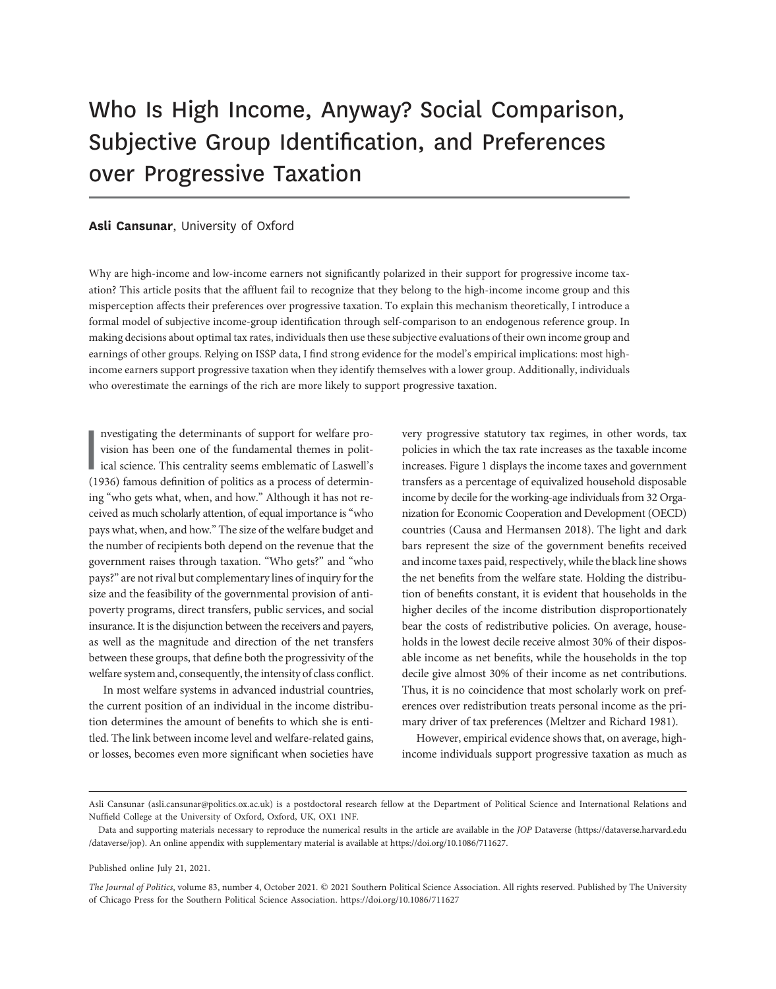# Who Is High Income, Anyway? Social Comparison, Subjective Group Identification, and Preferences over Progressive Taxation

#### Asli Cansunar, University of Oxford

Why are high-income and low-income earners not significantly polarized in their support for progressive income taxation? This article posits that the affluent fail to recognize that they belong to the high-income income group and this misperception affects their preferences over progressive taxation. To explain this mechanism theoretically, I introduce a formal model of subjective income-group identification through self-comparison to an endogenous reference group. In making decisions about optimal tax rates, individuals then use these subjective evaluations of their own income group and earnings of other groups. Relying on ISSP data, I find strong evidence for the model's empirical implications: most highincome earners support progressive taxation when they identify themselves with a lower group. Additionally, individuals who overestimate the earnings of the rich are more likely to support progressive taxation.

nvestigating the determinants of support for welfare provision has been one of the fundamental themes in political science. This centrality seems emblematic of Laswell's (1936) famous definition of politics as a process of nvestigating the determinants of support for welfare provision has been one of the fundamental themes in political science. This centrality seems emblematic of Laswell's ing "who gets what, when, and how." Although it has not received as much scholarly attention, of equal importance is"who pays what, when, and how." The size of the welfare budget and the number of recipients both depend on the revenue that the government raises through taxation. "Who gets?" and "who pays?" are not rival but complementary lines of inquiry for the size and the feasibility of the governmental provision of antipoverty programs, direct transfers, public services, and social insurance. It is the disjunction between the receivers and payers, as well as the magnitude and direction of the net transfers between these groups, that define both the progressivity of the welfare system and, consequently, the intensity of class conflict.

In most welfare systems in advanced industrial countries, the current position of an individual in the income distribution determines the amount of benefits to which she is entitled. The link between income level and welfare-related gains, or losses, becomes even more significant when societies have very progressive statutory tax regimes, in other words, tax policies in which the tax rate increases as the taxable income increases. Figure 1 displays the income taxes and government transfers as a percentage of equivalized household disposable income by decile for the working-age individuals from 32 Organization for Economic Cooperation and Development (OECD) countries (Causa and Hermansen 2018). The light and dark bars represent the size of the government benefits received and income taxes paid, respectively, while the black line shows the net benefits from the welfare state. Holding the distribution of benefits constant, it is evident that households in the higher deciles of the income distribution disproportionately bear the costs of redistributive policies. On average, households in the lowest decile receive almost 30% of their disposable income as net benefits, while the households in the top decile give almost 30% of their income as net contributions. Thus, it is no coincidence that most scholarly work on preferences over redistribution treats personal income as the primary driver of tax preferences (Meltzer and Richard 1981).

However, empirical evidence shows that, on average, highincome individuals support progressive taxation as much as

Published online July 21, 2021.

Asli Cansunar (asli.cansunar@politics.ox.ac.uk) is a postdoctoral research fellow at the Department of Political Science and International Relations and Nuffield College at the University of Oxford, Oxford, UK, OX1 1NF.

Data and supporting materials necessary to reproduce the numerical results in the article are available in the JOP Dataverse (https://dataverse.harvard.edu /dataverse/jop). An online appendix with supplementary material is available at https://doi.org/10.1086/711627.

The Journal of Politics, volume 83, number 4, October 2021. © 2021 Southern Political Science Association. All rights reserved. Published by The University of Chicago Press for the Southern Political Science Association. https://doi.org/10.1086/711627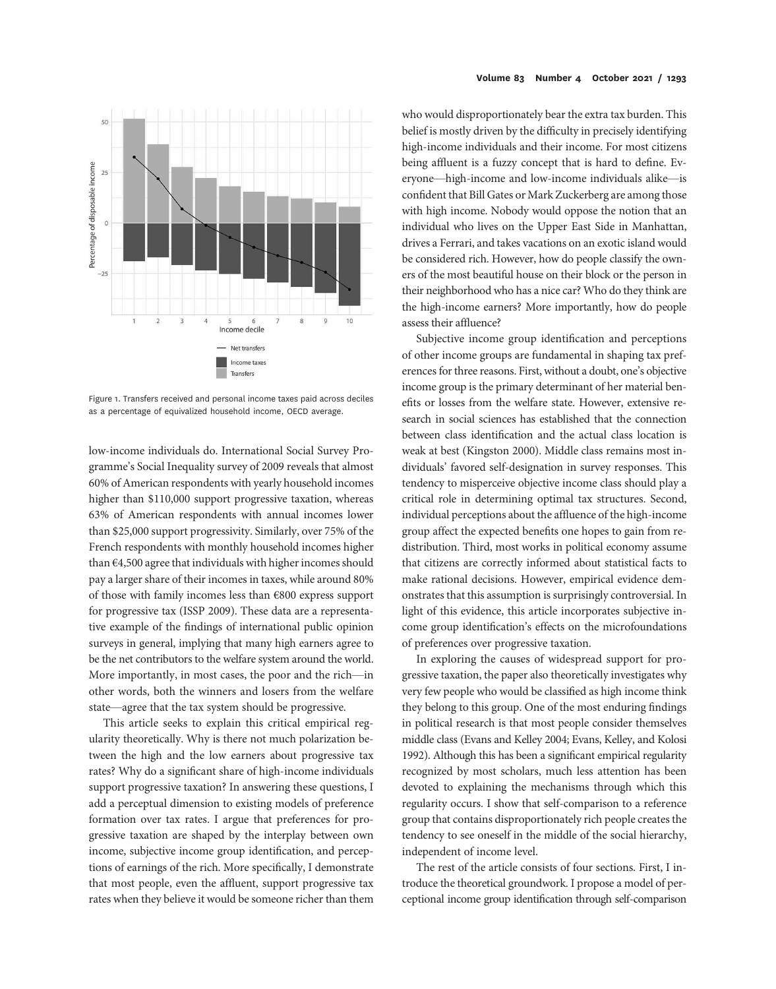

Figure 1. Transfers received and personal income taxes paid across deciles as a percentage of equivalized household income, OECD average.

low-income individuals do. International Social Survey Programme's Social Inequality survey of 2009 reveals that almost 60% of American respondents with yearly household incomes higher than \$110,000 support progressive taxation, whereas 63% of American respondents with annual incomes lower than \$25,000 support progressivity. Similarly, over 75% of the French respondents with monthly household incomes higher than €4,500 agree that individuals with higher incomes should pay a larger share of their incomes in taxes, while around 80% of those with family incomes less than €800 express support for progressive tax (ISSP 2009). These data are a representative example of the findings of international public opinion surveys in general, implying that many high earners agree to be the net contributors to the welfare system around the world. More importantly, in most cases, the poor and the rich—in other words, both the winners and losers from the welfare state—agree that the tax system should be progressive.

This article seeks to explain this critical empirical regularity theoretically. Why is there not much polarization between the high and the low earners about progressive tax rates? Why do a significant share of high-income individuals support progressive taxation? In answering these questions, I add a perceptual dimension to existing models of preference formation over tax rates. I argue that preferences for progressive taxation are shaped by the interplay between own income, subjective income group identification, and perceptions of earnings of the rich. More specifically, I demonstrate that most people, even the affluent, support progressive tax rates when they believe it would be someone richer than them

who would disproportionately bear the extra tax burden. This belief is mostly driven by the difficulty in precisely identifying high-income individuals and their income. For most citizens being affluent is a fuzzy concept that is hard to define. Everyone—high-income and low-income individuals alike—is confident that Bill Gates or Mark Zuckerberg are among those with high income. Nobody would oppose the notion that an individual who lives on the Upper East Side in Manhattan, drives a Ferrari, and takes vacations on an exotic island would be considered rich. However, how do people classify the owners of the most beautiful house on their block or the person in their neighborhood who has a nice car? Who do they think are the high-income earners? More importantly, how do people assess their affluence?

Subjective income group identification and perceptions of other income groups are fundamental in shaping tax preferences for three reasons. First, without a doubt, one's objective income group is the primary determinant of her material benefits or losses from the welfare state. However, extensive research in social sciences has established that the connection between class identification and the actual class location is weak at best (Kingston 2000). Middle class remains most individuals' favored self-designation in survey responses. This tendency to misperceive objective income class should play a critical role in determining optimal tax structures. Second, individual perceptions about the affluence of the high-income group affect the expected benefits one hopes to gain from redistribution. Third, most works in political economy assume that citizens are correctly informed about statistical facts to make rational decisions. However, empirical evidence demonstrates that this assumption is surprisingly controversial. In light of this evidence, this article incorporates subjective income group identification's effects on the microfoundations of preferences over progressive taxation.

In exploring the causes of widespread support for progressive taxation, the paper also theoretically investigates why very few people who would be classified as high income think they belong to this group. One of the most enduring findings in political research is that most people consider themselves middle class (Evans and Kelley 2004; Evans, Kelley, and Kolosi 1992). Although this has been a significant empirical regularity recognized by most scholars, much less attention has been devoted to explaining the mechanisms through which this regularity occurs. I show that self-comparison to a reference group that contains disproportionately rich people creates the tendency to see oneself in the middle of the social hierarchy, independent of income level.

The rest of the article consists of four sections. First, I introduce the theoretical groundwork. I propose a model of perceptional income group identification through self-comparison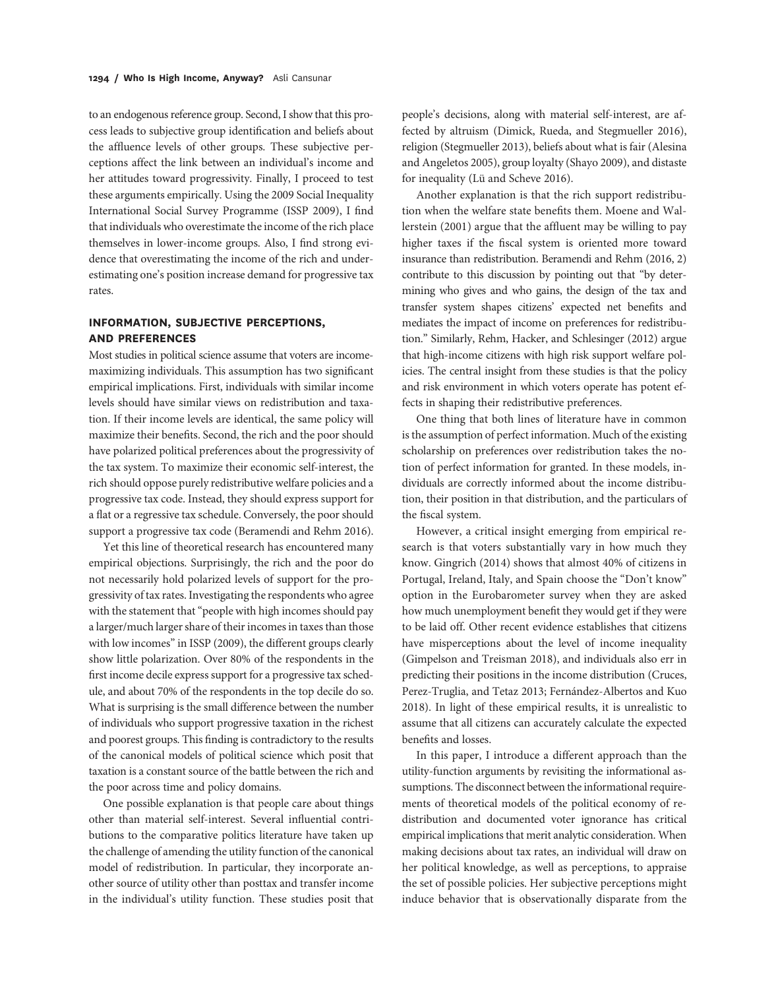to an endogenous reference group. Second, I show that this process leads to subjective group identification and beliefs about the affluence levels of other groups. These subjective perceptions affect the link between an individual's income and her attitudes toward progressivity. Finally, I proceed to test these arguments empirically. Using the 2009 Social Inequality International Social Survey Programme (ISSP 2009), I find that individuals who overestimate the income of the rich place themselves in lower-income groups. Also, I find strong evidence that overestimating the income of the rich and underestimating one's position increase demand for progressive tax rates.

## INFORMATION, SUBJECTIVE PERCEPTIONS, AND PREFERENCES

Most studies in political science assume that voters are incomemaximizing individuals. This assumption has two significant empirical implications. First, individuals with similar income levels should have similar views on redistribution and taxation. If their income levels are identical, the same policy will maximize their benefits. Second, the rich and the poor should have polarized political preferences about the progressivity of the tax system. To maximize their economic self-interest, the rich should oppose purely redistributive welfare policies and a progressive tax code. Instead, they should express support for a flat or a regressive tax schedule. Conversely, the poor should support a progressive tax code (Beramendi and Rehm 2016).

Yet this line of theoretical research has encountered many empirical objections. Surprisingly, the rich and the poor do not necessarily hold polarized levels of support for the progressivity of tax rates. Investigating the respondents who agree with the statement that"people with high incomes should pay a larger/much larger share of their incomes in taxes than those with low incomes" in ISSP (2009), the different groups clearly show little polarization. Over 80% of the respondents in the first income decile express support for a progressive tax schedule, and about 70% of the respondents in the top decile do so. What is surprising is the small difference between the number of individuals who support progressive taxation in the richest and poorest groups. This finding is contradictory to the results of the canonical models of political science which posit that taxation is a constant source of the battle between the rich and the poor across time and policy domains.

One possible explanation is that people care about things other than material self-interest. Several influential contributions to the comparative politics literature have taken up the challenge of amending the utility function of the canonical model of redistribution. In particular, they incorporate another source of utility other than posttax and transfer income in the individual's utility function. These studies posit that

people's decisions, along with material self-interest, are affected by altruism (Dimick, Rueda, and Stegmueller 2016), religion (Stegmueller 2013), beliefs about what is fair (Alesina and Angeletos 2005), group loyalty (Shayo 2009), and distaste for inequality (Lü and Scheve 2016).

Another explanation is that the rich support redistribution when the welfare state benefits them. Moene and Wallerstein (2001) argue that the affluent may be willing to pay higher taxes if the fiscal system is oriented more toward insurance than redistribution. Beramendi and Rehm (2016, 2) contribute to this discussion by pointing out that "by determining who gives and who gains, the design of the tax and transfer system shapes citizens' expected net benefits and mediates the impact of income on preferences for redistribution." Similarly, Rehm, Hacker, and Schlesinger (2012) argue that high-income citizens with high risk support welfare policies. The central insight from these studies is that the policy and risk environment in which voters operate has potent effects in shaping their redistributive preferences.

One thing that both lines of literature have in common is the assumption of perfect information. Much of the existing scholarship on preferences over redistribution takes the notion of perfect information for granted. In these models, individuals are correctly informed about the income distribution, their position in that distribution, and the particulars of the fiscal system.

However, a critical insight emerging from empirical research is that voters substantially vary in how much they know. Gingrich (2014) shows that almost 40% of citizens in Portugal, Ireland, Italy, and Spain choose the "Don't know" option in the Eurobarometer survey when they are asked how much unemployment benefit they would get if they were to be laid off. Other recent evidence establishes that citizens have misperceptions about the level of income inequality (Gimpelson and Treisman 2018), and individuals also err in predicting their positions in the income distribution (Cruces, Perez-Truglia, and Tetaz 2013; Fernández-Albertos and Kuo 2018). In light of these empirical results, it is unrealistic to assume that all citizens can accurately calculate the expected benefits and losses.

In this paper, I introduce a different approach than the utility-function arguments by revisiting the informational assumptions. The disconnect between the informational requirements of theoretical models of the political economy of redistribution and documented voter ignorance has critical empirical implications that merit analytic consideration. When making decisions about tax rates, an individual will draw on her political knowledge, as well as perceptions, to appraise the set of possible policies. Her subjective perceptions might induce behavior that is observationally disparate from the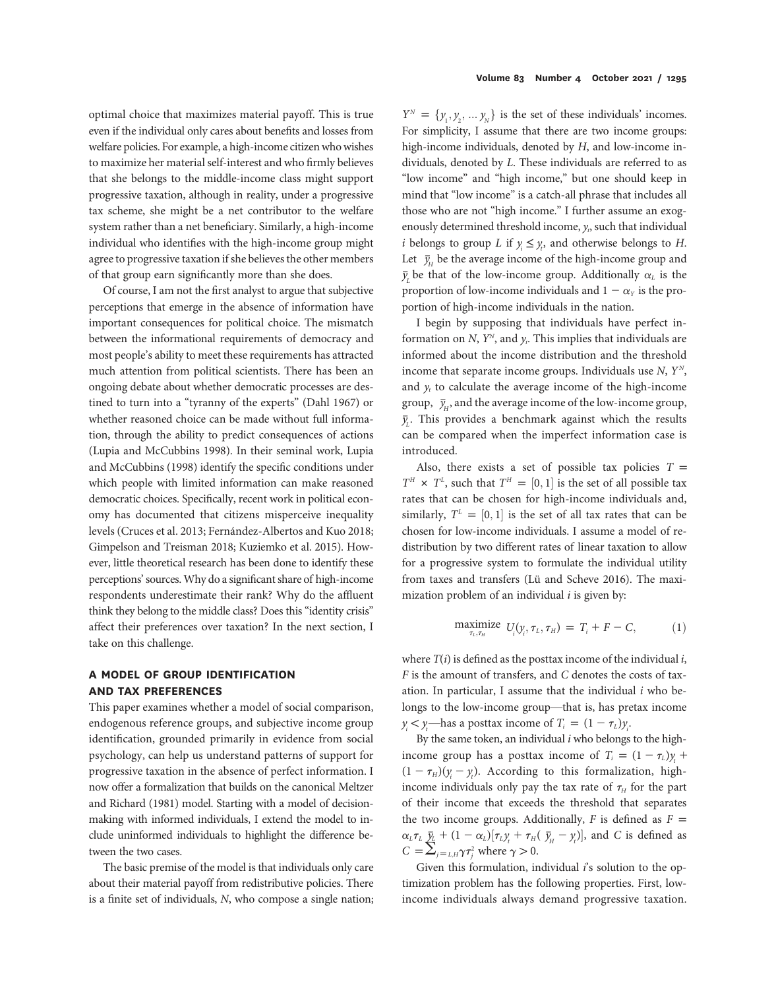optimal choice that maximizes material payoff. This is true even if the individual only cares about benefits and losses from welfare policies. For example, a high-income citizen who wishes to maximize her material self-interest and who firmly believes that she belongs to the middle-income class might support progressive taxation, although in reality, under a progressive tax scheme, she might be a net contributor to the welfare system rather than a net beneficiary. Similarly, a high-income individual who identifies with the high-income group might agree to progressive taxation if she believes the other members of that group earn significantly more than she does.

Of course, I am not the first analyst to argue that subjective perceptions that emerge in the absence of information have important consequences for political choice. The mismatch between the informational requirements of democracy and most people's ability to meet these requirements has attracted much attention from political scientists. There has been an ongoing debate about whether democratic processes are destined to turn into a "tyranny of the experts" (Dahl 1967) or whether reasoned choice can be made without full information, through the ability to predict consequences of actions (Lupia and McCubbins 1998). In their seminal work, Lupia and McCubbins (1998) identify the specific conditions under which people with limited information can make reasoned democratic choices. Specifically, recent work in political economy has documented that citizens misperceive inequality levels (Cruces et al. 2013; Fernández-Albertos and Kuo 2018; Gimpelson and Treisman 2018; Kuziemko et al. 2015). However, little theoretical research has been done to identify these perceptions'sources. Why do a significant share of high-income respondents underestimate their rank? Why do the affluent think they belong to the middle class? Does this "identity crisis" affect their preferences over taxation? In the next section, I take on this challenge.

## A MODEL OF GROUP IDENTIFICATION AND TAX PREFERENCES

This paper examines whether a model of social comparison, endogenous reference groups, and subjective income group identification, grounded primarily in evidence from social psychology, can help us understand patterns of support for progressive taxation in the absence of perfect information. I now offer a formalization that builds on the canonical Meltzer and Richard (1981) model. Starting with a model of decisionmaking with informed individuals, I extend the model to include uninformed individuals to highlight the difference between the two cases.

The basic premise of the model is that individuals only care about their material payoff from redistributive policies. There is a finite set of individuals, N, who compose a single nation;

 $Y^N = \{y_1, y_2, \dots y_N\}$  is the set of these individuals' incomes. For simplicity, I assume that there are two income groups: high-income individuals, denoted by H, and low-income individuals, denoted by L. These individuals are referred to as "low income" and "high income," but one should keep in mind that "low income" is a catch-all phrase that includes all those who are not "high income." I further assume an exogenously determined threshold income,  $y_t$ , such that individual *i* belongs to group *L* if  $y_i \leq y_i$ , and otherwise belongs to *H*. Let  $\bar{y}_H$  be the average income of the high-income group and  $\overline{y}_L$  be that of the low-income group. Additionally  $\alpha_L$  is the proportion of low-income individuals and  $1 - \alpha_Y$  is the proportion of high-income individuals in the nation.

I begin by supposing that individuals have perfect information on N,  $Y^N$ , and  $y_t$ . This implies that individuals are informed about the income distribution and the threshold income that separate income groups. Individuals use  $N$ ,  $Y^N$ , and  $y_t$  to calculate the average income of the high-income group,  $\bar{y}_H$ , and the average income of the low-income group,  $\bar{y}_L$ . This provides a benchmark against which the results can be compared when the imperfect information case is introduced.

Also, there exists a set of possible tax policies  $T =$  $T^H \times T^L$ , such that  $T^H = [0, 1]$  is the set of all possible tax rates that can be chosen for high-income individuals and, similarly,  $T^{\perp} = [0, 1]$  is the set of all tax rates that can be chosen for low-income individuals. I assume a model of redistribution by two different rates of linear taxation to allow for a progressive system to formulate the individual utility from taxes and transfers (Lü and Scheve 2016). The maximization problem of an individual  $i$  is given by:

$$
\underset{\tau_L, \tau_H}{\text{maximize}} U_i(y_i, \tau_L, \tau_H) = T_i + F - C,\tag{1}
$$

where  $T(i)$  is defined as the posttax income of the individual i, F is the amount of transfers, and C denotes the costs of taxation. In particular, I assume that the individual  $i$  who belongs to the low-income group—that is, has pretax income  $y_i < y_i$ —has a posttax income of  $T_i = (1 - \tau_L)y_i$ .

By the same token, an individual  $i$  who belongs to the highincome group has a posttax income of  $T_i = (1 - \tau_L) y_t +$  $(1 - \tau_H)(y_i - y_i)$ . According to this formalization, highincome individuals only pay the tax rate of  $\tau_H$  for the part of their income that exceeds the threshold that separates the two income groups. Additionally, F is defined as  $F =$  $\alpha_L \tau_L \frac{\bar{y}_L}{\bar{y}_L} + (1 - \alpha_L) [\tau_L y_t + \tau_H(\bar{y}_H - y_t)],$  and C is defined as  $C = \sum_{j=L,H}^{L} \gamma \tau_j^2$  where  $\gamma > 0$ .

Given this formulation, individual  $i$ 's solution to the optimization problem has the following properties. First, lowincome individuals always demand progressive taxation.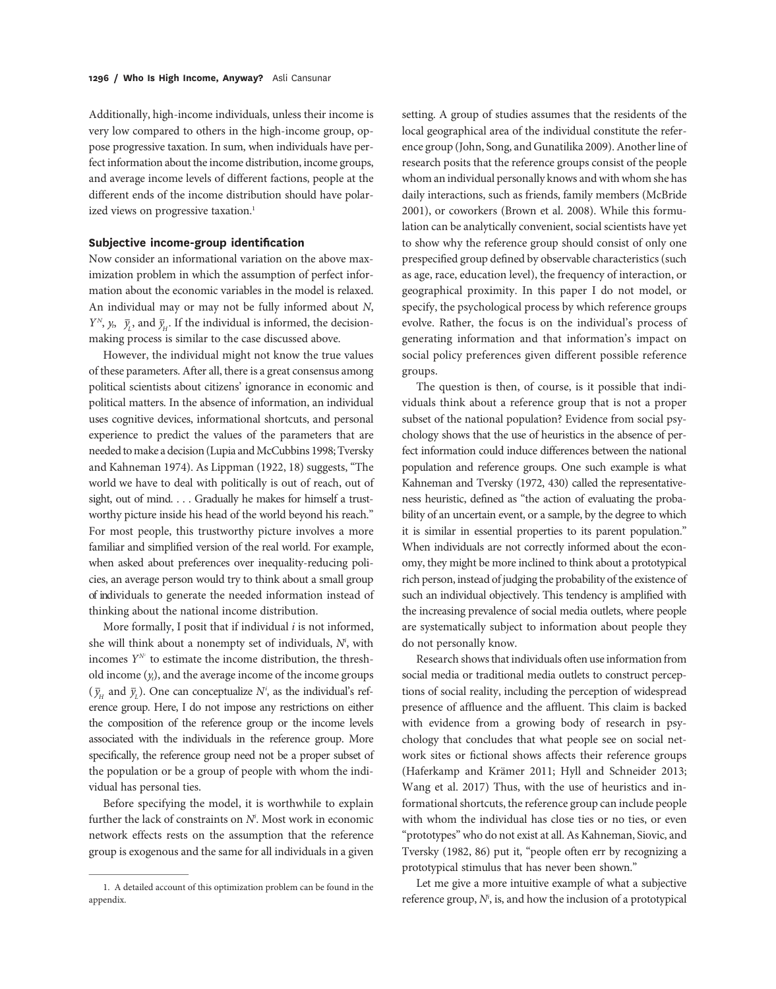Additionally, high-income individuals, unless their income is very low compared to others in the high-income group, oppose progressive taxation. In sum, when individuals have perfect information about the income distribution, income groups, and average income levels of different factions, people at the different ends of the income distribution should have polarized views on progressive taxation.<sup>1</sup>

#### Subjective income-group identification

Now consider an informational variation on the above maximization problem in which the assumption of perfect information about the economic variables in the model is relaxed. An individual may or may not be fully informed about N,  $Y^N$ ,  $y_b$ ,  $\bar{y}_t$ , and  $\bar{y}_t$ . If the individual is informed, the decisionmaking process is similar to the case discussed above.

However, the individual might not know the true values of these parameters. After all, there is a great consensus among political scientists about citizens' ignorance in economic and political matters. In the absence of information, an individual uses cognitive devices, informational shortcuts, and personal experience to predict the values of the parameters that are needed to make a decision (Lupia and McCubbins 1998; Tversky and Kahneman 1974). As Lippman (1922, 18) suggests, "The world we have to deal with politically is out of reach, out of sight, out of mind. . . . Gradually he makes for himself a trustworthy picture inside his head of the world beyond his reach." For most people, this trustworthy picture involves a more familiar and simplified version of the real world. For example, when asked about preferences over inequality-reducing policies, an average person would try to think about a small group of individuals to generate the needed information instead of thinking about the national income distribution.

More formally, I posit that if individual  $i$  is not informed, she will think about a nonempty set of individuals,  $N<sup>i</sup>$ , with incomes  $Y^N$  to estimate the income distribution, the threshold income  $(y_t)$ , and the average income of the income groups  $(\bar{y}_H$  and  $\bar{y}_L$ ). One can conceptualize N', as the individual's reference group. Here, I do not impose any restrictions on either the composition of the reference group or the income levels associated with the individuals in the reference group. More specifically, the reference group need not be a proper subset of the population or be a group of people with whom the individual has personal ties.

Before specifying the model, it is worthwhile to explain further the lack of constraints on  $N<sup>i</sup>$ . Most work in economic network effects rests on the assumption that the reference group is exogenous and the same for all individuals in a given

setting. A group of studies assumes that the residents of the local geographical area of the individual constitute the reference group (John, Song, and Gunatilika 2009). Another line of research posits that the reference groups consist of the people whom an individual personally knows and with whom she has daily interactions, such as friends, family members (McBride 2001), or coworkers (Brown et al. 2008). While this formulation can be analytically convenient, social scientists have yet to show why the reference group should consist of only one prespecified group defined by observable characteristics (such as age, race, education level), the frequency of interaction, or geographical proximity. In this paper I do not model, or specify, the psychological process by which reference groups evolve. Rather, the focus is on the individual's process of generating information and that information's impact on social policy preferences given different possible reference groups.

The question is then, of course, is it possible that individuals think about a reference group that is not a proper subset of the national population? Evidence from social psychology shows that the use of heuristics in the absence of perfect information could induce differences between the national population and reference groups. One such example is what Kahneman and Tversky (1972, 430) called the representativeness heuristic, defined as "the action of evaluating the probability of an uncertain event, or a sample, by the degree to which it is similar in essential properties to its parent population." When individuals are not correctly informed about the economy, they might be more inclined to think about a prototypical rich person, instead of judging the probability of the existence of such an individual objectively. This tendency is amplified with the increasing prevalence of social media outlets, where people are systematically subject to information about people they do not personally know.

Research shows that individuals often use information from social media or traditional media outlets to construct perceptions of social reality, including the perception of widespread presence of affluence and the affluent. This claim is backed with evidence from a growing body of research in psychology that concludes that what people see on social network sites or fictional shows affects their reference groups (Haferkamp and Krämer 2011; Hyll and Schneider 2013; Wang et al. 2017) Thus, with the use of heuristics and informational shortcuts, the reference group can include people with whom the individual has close ties or no ties, or even "prototypes" who do not exist at all. As Kahneman, Siovic, and Tversky (1982, 86) put it, "people often err by recognizing a prototypical stimulus that has never been shown."

Let me give a more intuitive example of what a subjective reference group,  $N<sup>i</sup>$ , is, and how the inclusion of a prototypical

<sup>1.</sup> A detailed account of this optimization problem can be found in the appendix.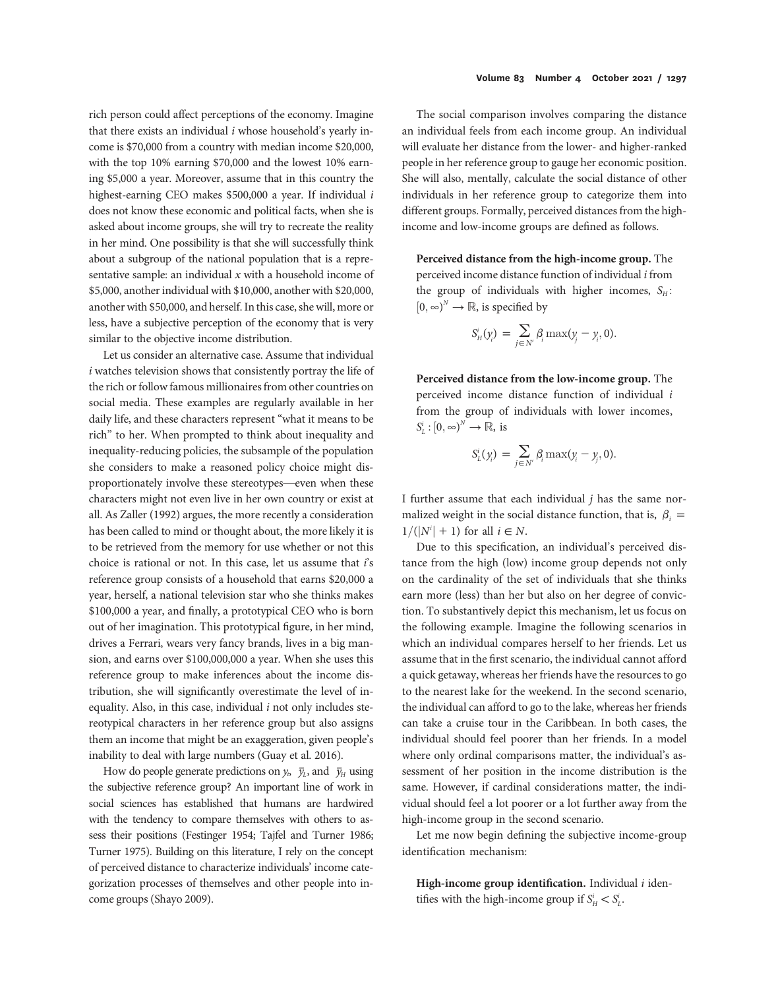rich person could affect perceptions of the economy. Imagine that there exists an individual  $i$  whose household's yearly income is \$70,000 from a country with median income \$20,000, with the top 10% earning \$70,000 and the lowest 10% earning \$5,000 a year. Moreover, assume that in this country the highest-earning CEO makes \$500,000 a year. If individual i does not know these economic and political facts, when she is asked about income groups, she will try to recreate the reality in her mind. One possibility is that she will successfully think about a subgroup of the national population that is a representative sample: an individual  $x$  with a household income of \$5,000, another individual with \$10,000, another with \$20,000, another with \$50,000, and herself. In this case, she will, more or less, have a subjective perception of the economy that is very similar to the objective income distribution.

Let us consider an alternative case. Assume that individual  $i$  watches television shows that consistently portray the life of the rich or follow famous millionaires from other countries on social media. These examples are regularly available in her daily life, and these characters represent "what it means to be rich" to her. When prompted to think about inequality and inequality-reducing policies, the subsample of the population she considers to make a reasoned policy choice might disproportionately involve these stereotypes—even when these characters might not even live in her own country or exist at all. As Zaller (1992) argues, the more recently a consideration has been called to mind or thought about, the more likely it is to be retrieved from the memory for use whether or not this choice is rational or not. In this case, let us assume that  $i$ 's reference group consists of a household that earns \$20,000 a year, herself, a national television star who she thinks makes \$100,000 a year, and finally, a prototypical CEO who is born out of her imagination. This prototypical figure, in her mind, drives a Ferrari, wears very fancy brands, lives in a big mansion, and earns over \$100,000,000 a year. When she uses this reference group to make inferences about the income distribution, she will significantly overestimate the level of inequality. Also, in this case, individual  $i$  not only includes stereotypical characters in her reference group but also assigns them an income that might be an exaggeration, given people's inability to deal with large numbers (Guay et al. 2016).

How do people generate predictions on  $y_h$ ,  $\bar{y}_L$ , and  $\bar{y}_H$  using the subjective reference group? An important line of work in social sciences has established that humans are hardwired with the tendency to compare themselves with others to assess their positions (Festinger 1954; Tajfel and Turner 1986; Turner 1975). Building on this literature, I rely on the concept of perceived distance to characterize individuals' income categorization processes of themselves and other people into income groups (Shayo 2009).

The social comparison involves comparing the distance an individual feels from each income group. An individual will evaluate her distance from the lower- and higher-ranked people in her reference group to gauge her economic position. She will also, mentally, calculate the social distance of other individuals in her reference group to categorize them into different groups. Formally, perceived distances from the highincome and low-income groups are defined as follows.

Perceived distance from the high-income group. The perceived income distance function of individual i from the group of individuals with higher incomes,  $S_H$ :  $[0, \infty)^N \to \mathbb{R}$ , is specified by

$$
S_H^i(y_i) = \sum_{j \in N^i} \beta_i \max(y_j - y_i, 0).
$$

Perceived distance from the low-income group. The perceived income distance function of individual i from the group of individuals with lower incomes,  $S_L^i : [0, \infty)^N \to \mathbb{R}$ , is

$$
S_{L}^{i}(y_{i}) = \sum_{j \in N^{i}} \beta_{i} \max(y_{i} - y_{j}, 0).
$$

I further assume that each individual  $j$  has the same normalized weight in the social distance function, that is,  $\beta_i =$  $1/(|N^i| + 1)$  for all  $i \in N$ .

Due to this specification, an individual's perceived distance from the high (low) income group depends not only on the cardinality of the set of individuals that she thinks earn more (less) than her but also on her degree of conviction. To substantively depict this mechanism, let us focus on the following example. Imagine the following scenarios in which an individual compares herself to her friends. Let us assume that in the first scenario, the individual cannot afford a quick getaway, whereas her friends have the resources to go to the nearest lake for the weekend. In the second scenario, the individual can afford to go to the lake, whereas her friends can take a cruise tour in the Caribbean. In both cases, the individual should feel poorer than her friends. In a model where only ordinal comparisons matter, the individual's assessment of her position in the income distribution is the same. However, if cardinal considerations matter, the individual should feel a lot poorer or a lot further away from the high-income group in the second scenario.

Let me now begin defining the subjective income-group identification mechanism:

High-income group identification. Individual  $i$  identifies with the high-income group if  $S_H^i < S_L^i$ .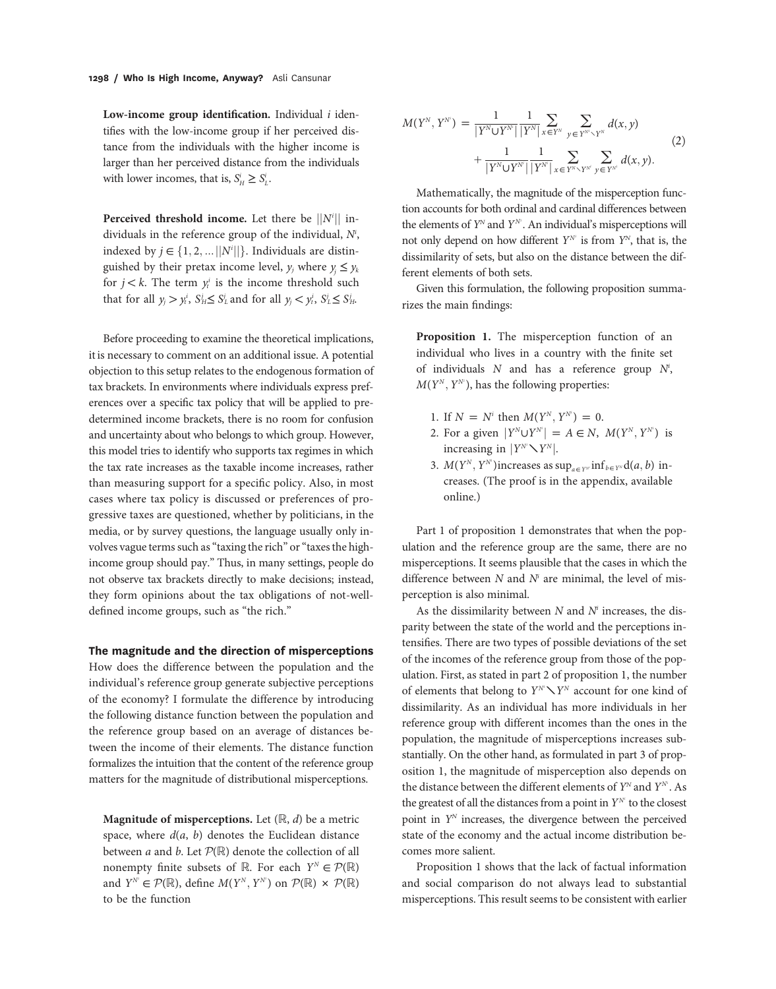Low-income group identification. Individual  $i$  identifies with the low-income group if her perceived distance from the individuals with the higher income is larger than her perceived distance from the individuals with lower incomes, that is,  $S_H^i \geq S_L^i$ .

Perceived threshold income. Let there be  $||N^i||$  individuals in the reference group of the individual,  $N^i$ , indexed by  $j \in \{1, 2, ...\|N^i\|\}$ . Individuals are distinguished by their pretax income level,  $v_i$  where  $v_i \le v_k$ for  $j < k$ . The term  $y_t^i$  is the income threshold such that for all  $y_j > y_t^i$ ,  $S_H^j \leq S_L^i$  and for all  $y_j < y_t^i$ ,  $S_L^i \leq S_H^i$ .

Before proceeding to examine the theoretical implications, it is necessary to comment on an additional issue. A potential objection to this setup relates to the endogenous formation of tax brackets. In environments where individuals express preferences over a specific tax policy that will be applied to predetermined income brackets, there is no room for confusion and uncertainty about who belongs to which group. However, this model tries to identify who supports tax regimes in which the tax rate increases as the taxable income increases, rather than measuring support for a specific policy. Also, in most cases where tax policy is discussed or preferences of progressive taxes are questioned, whether by politicians, in the media, or by survey questions, the language usually only involves vague terms such as "taxing the rich" or "taxes the highincome group should pay." Thus, in many settings, people do not observe tax brackets directly to make decisions; instead, they form opinions about the tax obligations of not-welldefined income groups, such as "the rich."

#### The magnitude and the direction of misperceptions

How does the difference between the population and the individual's reference group generate subjective perceptions of the economy? I formulate the difference by introducing the following distance function between the population and the reference group based on an average of distances between the income of their elements. The distance function formalizes the intuition that the content of the reference group matters for the magnitude of distributional misperceptions.

**Magnitude of misperceptions.** Let  $(\mathbb{R}, d)$  be a metric space, where  $d(a, b)$  denotes the Euclidean distance between  $a$  and  $b$ . Let  $\mathcal{P}(\mathbb{R})$  denote the collection of all nonempty finite subsets of R. For each  $Y^N \in \mathcal{P}(\mathbb{R})$ and  $Y^{\mathbb{N}^i} \in \mathcal{P}(\mathbb{R})$ , define  $M(Y^{\mathbb{N}}, Y^{\mathbb{N}^i})$  on  $\mathcal{P}(\mathbb{R}) \times \mathcal{P}(\mathbb{R})$ to be the function

$$
M(Y^{N}, Y^{N}) = \frac{1}{|Y^{N} \cup Y^{N}|} \frac{1}{|Y^{N}|} \sum_{x \in Y^{N}} \sum_{y \in Y^{N^{c}} \setminus Y^{N}} d(x, y) + \frac{1}{|Y^{N} \cup Y^{N^{c}}|} \frac{1}{|Y^{N^{c}}|} \sum_{x \in Y^{N} \setminus Y^{N^{c}}} \sum_{y \in Y^{N^{c}}} d(x, y).
$$
\n(2)

Mathematically, the magnitude of the misperception function accounts for both ordinal and cardinal differences between the elements of  $Y^N$  and  $Y^{N'}$ . An individual's misperceptions will not only depend on how different  $Y^{N'}$  is from  $Y^N$ , that is, the dissimilarity of sets, but also on the distance between the different elements of both sets.

Given this formulation, the following proposition summarizes the main findings:

Proposition 1. The misperception function of an individual who lives in a country with the finite set of individuals  $N$  and has a reference group  $N^i$ ,  $M(Y^N, Y^N)$ , has the following properties:

- 1. If  $N = N^i$  then  $M(Y^N, Y^N) = 0$ .
- 2. For a given  $|Y^N \cup Y^{N^i}| = A \in N$ ,  $M(Y^N, Y^{N^i})$  is For a given  $|I \cup I| =$ <br>increasing in  $|Y^N \setminus Y^N|$ .
- 3.  $M(Y^N, Y^{N})$  increases as  $\sup_{a \in Y^N} \inf_{b \in Y^N} d(a, b)$  increases. (The proof is in the appendix, available online.)

Part 1 of proposition 1 demonstrates that when the population and the reference group are the same, there are no misperceptions. It seems plausible that the cases in which the difference between  $N$  and  $N<sup>i</sup>$  are minimal, the level of misperception is also minimal.

As the dissimilarity between  $N$  and  $N<sup>i</sup>$  increases, the disparity between the state of the world and the perceptions intensifies. There are two types of possible deviations of the set of the incomes of the reference group from those of the population. First, as stated in part 2 of proposition 1, the number mation. First, as stated in part 2 of proposition 1, the number<br>of elements that belong to  $Y^N \times Y^N$  account for one kind of dissimilarity. As an individual has more individuals in her reference group with different incomes than the ones in the population, the magnitude of misperceptions increases substantially. On the other hand, as formulated in part 3 of proposition 1, the magnitude of misperception also depends on the distance between the different elements of  $Y^N$  and  $Y^{N^i}$ . As the greatest of all the distances from a point in  $Y^N$  to the closest point in  $Y<sup>N</sup>$  increases, the divergence between the perceived state of the economy and the actual income distribution becomes more salient.

Proposition 1 shows that the lack of factual information and social comparison do not always lead to substantial misperceptions. This result seems to be consistent with earlier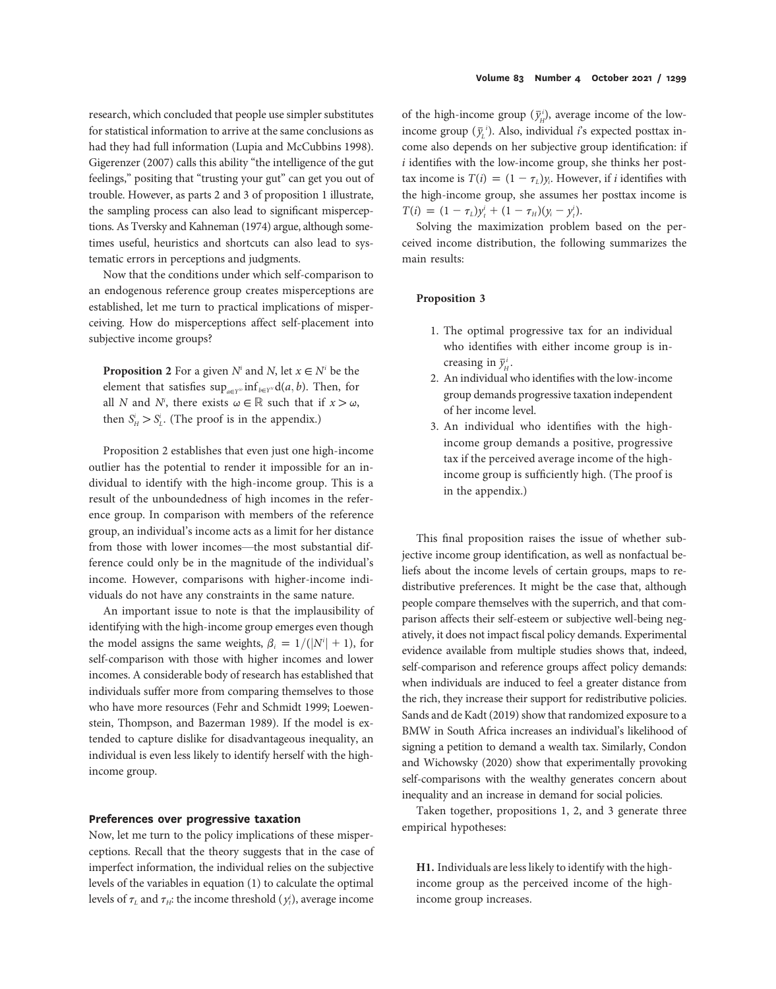research, which concluded that people use simpler substitutes for statistical information to arrive at the same conclusions as had they had full information (Lupia and McCubbins 1998). Gigerenzer (2007) calls this ability "the intelligence of the gut feelings," positing that "trusting your gut" can get you out of trouble. However, as parts 2 and 3 of proposition 1 illustrate, the sampling process can also lead to significant misperceptions. As Tversky and Kahneman (1974) argue, although sometimes useful, heuristics and shortcuts can also lead to systematic errors in perceptions and judgments.

Now that the conditions under which self-comparison to an endogenous reference group creates misperceptions are established, let me turn to practical implications of misperceiving. How do misperceptions affect self-placement into subjective income groups?

**Proposition 2** For a given  $N^i$  and  $N$ , let  $x \in N^i$  be the element that satisfies  $\sup_{a \in Y^N} \inf_{b \in Y^N} d(a, b)$ . Then, for all N and N<sup>i</sup>, there exists  $\omega \in \mathbb{R}$  such that if  $x > \omega$ , then  $S_H^i > S_L^i$ . (The proof is in the appendix.)

Proposition 2 establishes that even just one high-income outlier has the potential to render it impossible for an individual to identify with the high-income group. This is a result of the unboundedness of high incomes in the reference group. In comparison with members of the reference group, an individual's income acts as a limit for her distance from those with lower incomes—the most substantial difference could only be in the magnitude of the individual's income. However, comparisons with higher-income individuals do not have any constraints in the same nature.

An important issue to note is that the implausibility of identifying with the high-income group emerges even though the model assigns the same weights,  $\beta_i = 1/(|N^i| + 1)$ , for self-comparison with those with higher incomes and lower incomes. A considerable body of research has established that individuals suffer more from comparing themselves to those who have more resources (Fehr and Schmidt 1999; Loewenstein, Thompson, and Bazerman 1989). If the model is extended to capture dislike for disadvantageous inequality, an individual is even less likely to identify herself with the highincome group.

#### Preferences over progressive taxation

Now, let me turn to the policy implications of these misperceptions. Recall that the theory suggests that in the case of imperfect information, the individual relies on the subjective levels of the variables in equation (1) to calculate the optimal levels of  $\tau_L$  and  $\tau_{H}$ : the income threshold  $(y_t^i)$ , average income

of the high-income group  $(\bar{y}_H^i)$ , average income of the lowincome group  $(\bar{y}_L^i)$ . Also, individual *i*'s expected posttax income also depends on her subjective group identification: if  $i$  identifies with the low-income group, she thinks her posttax income is  $T(i) = (1 - \tau_L)y_i$ . However, if *i* identifies with the high-income group, she assumes her posttax income is  $T(i) = (1 - \tau_L)y_t^i + (1 - \tau_H)(y_i - y_t^i).$ 

Solving the maximization problem based on the perceived income distribution, the following summarizes the main results:

#### Proposition 3

- 1. The optimal progressive tax for an individual who identifies with either income group is increasing in  $\bar{y}_H^i$ .
- 2. An individual who identifies with the low-income group demands progressive taxation independent of her income level.
- 3. An individual who identifies with the highincome group demands a positive, progressive tax if the perceived average income of the highincome group is sufficiently high. (The proof is in the appendix.)

This final proposition raises the issue of whether subjective income group identification, as well as nonfactual beliefs about the income levels of certain groups, maps to redistributive preferences. It might be the case that, although people compare themselves with the superrich, and that comparison affects their self-esteem or subjective well-being negatively, it does not impact fiscal policy demands. Experimental evidence available from multiple studies shows that, indeed, self-comparison and reference groups affect policy demands: when individuals are induced to feel a greater distance from the rich, they increase their support for redistributive policies. Sands and de Kadt (2019) show that randomized exposure to a BMW in South Africa increases an individual's likelihood of signing a petition to demand a wealth tax. Similarly, Condon and Wichowsky (2020) show that experimentally provoking self-comparisons with the wealthy generates concern about inequality and an increase in demand for social policies.

Taken together, propositions 1, 2, and 3 generate three empirical hypotheses:

H1. Individuals are less likely to identify with the highincome group as the perceived income of the highincome group increases.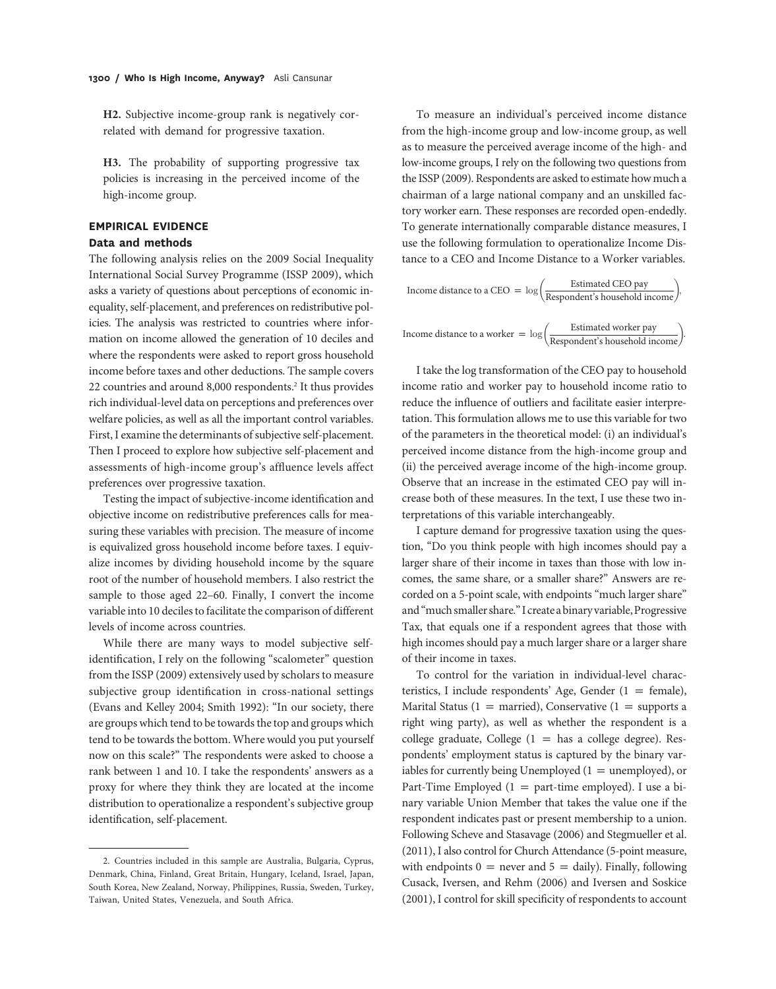H2. Subjective income-group rank is negatively correlated with demand for progressive taxation.

H3. The probability of supporting progressive tax policies is increasing in the perceived income of the high-income group.

## EMPIRICAL EVIDENCE Data and methods

The following analysis relies on the 2009 Social Inequality International Social Survey Programme (ISSP 2009), which asks a variety of questions about perceptions of economic inequality, self-placement, and preferences on redistributive policies. The analysis was restricted to countries where information on income allowed the generation of 10 deciles and where the respondents were asked to report gross household income before taxes and other deductions. The sample covers 22 countries and around 8,000 respondents.<sup>2</sup> It thus provides rich individual-level data on perceptions and preferences over welfare policies, as well as all the important control variables. First, I examine the determinants of subjective self-placement. Then I proceed to explore how subjective self-placement and assessments of high-income group's affluence levels affect preferences over progressive taxation.

Testing the impact of subjective-income identification and objective income on redistributive preferences calls for measuring these variables with precision. The measure of income is equivalized gross household income before taxes. I equivalize incomes by dividing household income by the square root of the number of household members. I also restrict the sample to those aged 22–60. Finally, I convert the income variable into 10 deciles to facilitate the comparison of different levels of income across countries.

While there are many ways to model subjective selfidentification, I rely on the following "scalometer" question from the ISSP (2009) extensively used by scholars to measure subjective group identification in cross-national settings (Evans and Kelley 2004; Smith 1992): "In our society, there are groups which tend to be towards the top and groups which tend to be towards the bottom. Where would you put yourself now on this scale?" The respondents were asked to choose a rank between 1 and 10. I take the respondents' answers as a proxy for where they think they are located at the income distribution to operationalize a respondent's subjective group identification, self-placement.

To measure an individual's perceived income distance from the high-income group and low-income group, as well as to measure the perceived average income of the high- and low-income groups, I rely on the following two questions from the ISSP (2009). Respondents are asked to estimate how much a chairman of a large national company and an unskilled factory worker earn. These responses are recorded open-endedly. To generate internationally comparable distance measures, I use the following formulation to operationalize Income Distance to a CEO and Income Distance to a Worker variables.

Income distance to a CEO = 
$$
\log\left(\frac{\text{Estimated CEO pay}}{\text{Respondent's household income}}\right)
$$
,

\nIncome distance to a worker =  $\log\left(\frac{\text{Estimated worker pay}}{\text{Respondent's household income}}\right)$ .

I take the log transformation of the CEO pay to household income ratio and worker pay to household income ratio to reduce the influence of outliers and facilitate easier interpretation. This formulation allows me to use this variable for two of the parameters in the theoretical model: (i) an individual's perceived income distance from the high-income group and (ii) the perceived average income of the high-income group. Observe that an increase in the estimated CEO pay will increase both of these measures. In the text, I use these two interpretations of this variable interchangeably.

I capture demand for progressive taxation using the question, "Do you think people with high incomes should pay a larger share of their income in taxes than those with low incomes, the same share, or a smaller share?" Answers are recorded on a 5-point scale, with endpoints "much larger share" and"much smaller share."I create a binary variable, Progressive Tax, that equals one if a respondent agrees that those with high incomes should pay a much larger share or a larger share of their income in taxes.

To control for the variation in individual-level characteristics, I include respondents' Age, Gender ( $1 = \text{female}$ ), Marital Status (1 = married), Conservative (1 = supports a right wing party), as well as whether the respondent is a college graduate, College  $(1 =$  has a college degree). Respondents' employment status is captured by the binary variables for currently being Unemployed  $(1 =$  unemployed), or Part-Time Employed  $(1 = part-time employed)$ . I use a binary variable Union Member that takes the value one if the respondent indicates past or present membership to a union. Following Scheve and Stasavage (2006) and Stegmueller et al. (2011), I also control for Church Attendance (5-point measure, with endpoints  $0 =$  never and  $5 =$  daily). Finally, following Cusack, Iversen, and Rehm (2006) and Iversen and Soskice (2001), I control for skill specificity of respondents to account

<sup>2.</sup> Countries included in this sample are Australia, Bulgaria, Cyprus, Denmark, China, Finland, Great Britain, Hungary, Iceland, Israel, Japan, South Korea, New Zealand, Norway, Philippines, Russia, Sweden, Turkey, Taiwan, United States, Venezuela, and South Africa.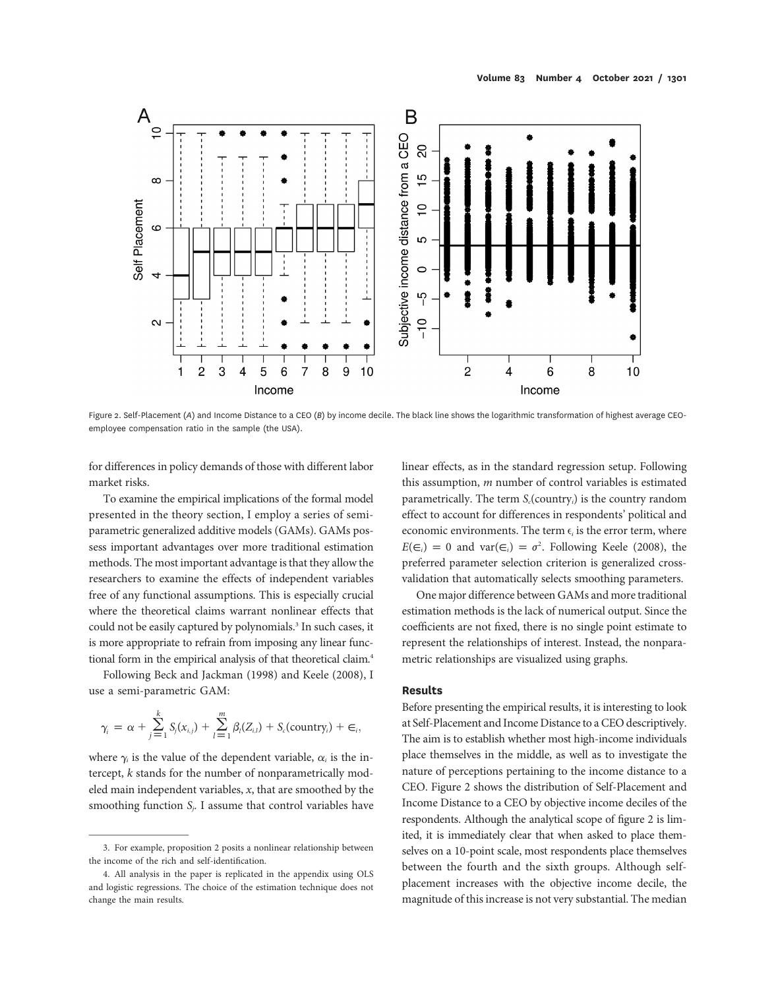

Figure 2. Self-Placement (A) and Income Distance to a CEO (B) by income decile. The black line shows the logarithmic transformation of highest average CEOemployee compensation ratio in the sample (the USA).

for differences in policy demands of those with different labor market risks.

To examine the empirical implications of the formal model presented in the theory section, I employ a series of semiparametric generalized additive models (GAMs). GAMs possess important advantages over more traditional estimation methods. The most important advantage is that they allow the researchers to examine the effects of independent variables free of any functional assumptions. This is especially crucial where the theoretical claims warrant nonlinear effects that could not be easily captured by polynomials.<sup>3</sup> In such cases, it is more appropriate to refrain from imposing any linear functional form in the empirical analysis of that theoretical claim.<sup>4</sup>

Following Beck and Jackman (1998) and Keele (2008), I use a semi-parametric GAM:

$$
\gamma_i = \alpha + \sum_{j=1}^k S_j(x_{i,j}) + \sum_{l=1}^m \beta_l(Z_{i,l}) + S_c(\text{country}_i) + \in_i,
$$

where  $\gamma_i$  is the value of the dependent variable,  $\alpha_i$  is the intercept, k stands for the number of nonparametrically modeled main independent variables, x, that are smoothed by the smoothing function  $S_j$ . I assume that control variables have

linear effects, as in the standard regression setup. Following this assumption, m number of control variables is estimated parametrically. The term  $S_c$ (country<sub>i</sub>) is the country random effect to account for differences in respondents' political and economic environments. The term  $\epsilon_i$  is the error term, where  $E(\epsilon_i) = 0$  and var $(\epsilon_i) = \sigma^2$ . Following Keele (2008), the preferred parameter selection criterion is generalized crossvalidation that automatically selects smoothing parameters.

One major difference between GAMs and more traditional estimation methods is the lack of numerical output. Since the coefficients are not fixed, there is no single point estimate to represent the relationships of interest. Instead, the nonparametric relationships are visualized using graphs.

### Results

Before presenting the empirical results, it is interesting to look at Self-Placement and Income Distance to a CEO descriptively. The aim is to establish whether most high-income individuals place themselves in the middle, as well as to investigate the nature of perceptions pertaining to the income distance to a CEO. Figure 2 shows the distribution of Self-Placement and Income Distance to a CEO by objective income deciles of the respondents. Although the analytical scope of figure 2 is limited, it is immediately clear that when asked to place themselves on a 10-point scale, most respondents place themselves between the fourth and the sixth groups. Although selfplacement increases with the objective income decile, the magnitude of this increase is not very substantial. The median

<sup>3.</sup> For example, proposition 2 posits a nonlinear relationship between the income of the rich and self-identification.

<sup>4.</sup> All analysis in the paper is replicated in the appendix using OLS and logistic regressions. The choice of the estimation technique does not change the main results.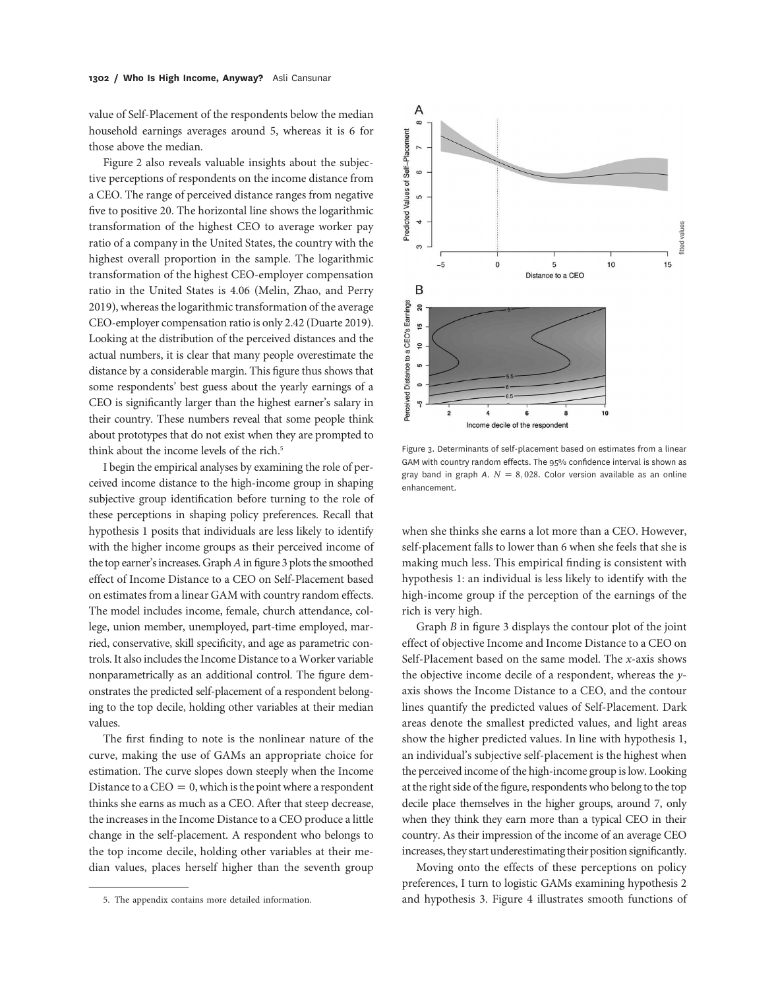value of Self-Placement of the respondents below the median household earnings averages around 5, whereas it is 6 for those above the median.

Figure 2 also reveals valuable insights about the subjective perceptions of respondents on the income distance from a CEO. The range of perceived distance ranges from negative five to positive 20. The horizontal line shows the logarithmic transformation of the highest CEO to average worker pay ratio of a company in the United States, the country with the highest overall proportion in the sample. The logarithmic transformation of the highest CEO-employer compensation ratio in the United States is 4.06 (Melin, Zhao, and Perry 2019), whereas the logarithmic transformation of the average CEO-employer compensation ratio is only 2.42 (Duarte 2019). Looking at the distribution of the perceived distances and the actual numbers, it is clear that many people overestimate the distance by a considerable margin. This figure thus shows that some respondents' best guess about the yearly earnings of a CEO is significantly larger than the highest earner's salary in their country. These numbers reveal that some people think about prototypes that do not exist when they are prompted to think about the income levels of the rich.<sup>5</sup>

I begin the empirical analyses by examining the role of perceived income distance to the high-income group in shaping subjective group identification before turning to the role of these perceptions in shaping policy preferences. Recall that hypothesis 1 posits that individuals are less likely to identify with the higher income groups as their perceived income of the top earner's increases. Graph A in figure 3 plots the smoothed effect of Income Distance to a CEO on Self-Placement based on estimates from a linear GAM with country random effects. The model includes income, female, church attendance, college, union member, unemployed, part-time employed, married, conservative, skill specificity, and age as parametric controls. It also includes the Income Distance to a Worker variable nonparametrically as an additional control. The figure demonstrates the predicted self-placement of a respondent belonging to the top decile, holding other variables at their median values.

The first finding to note is the nonlinear nature of the curve, making the use of GAMs an appropriate choice for estimation. The curve slopes down steeply when the Income Distance to a CEO = 0, which is the point where a respondent thinks she earns as much as a CEO. After that steep decrease, the increases in the Income Distance to a CEO produce a little change in the self-placement. A respondent who belongs to the top income decile, holding other variables at their median values, places herself higher than the seventh group



Figure 3. Determinants of self-placement based on estimates from a linear GAM with country random effects. The 95% confidence interval is shown as gray band in graph A.  $N = 8,028$ . Color version available as an online enhancement.

when she thinks she earns a lot more than a CEO. However, self-placement falls to lower than 6 when she feels that she is making much less. This empirical finding is consistent with hypothesis 1: an individual is less likely to identify with the high-income group if the perception of the earnings of the rich is very high.

Graph B in figure 3 displays the contour plot of the joint effect of objective Income and Income Distance to a CEO on Self-Placement based on the same model. The x-axis shows the objective income decile of a respondent, whereas the yaxis shows the Income Distance to a CEO, and the contour lines quantify the predicted values of Self-Placement. Dark areas denote the smallest predicted values, and light areas show the higher predicted values. In line with hypothesis 1, an individual's subjective self-placement is the highest when the perceived income of the high-income group is low. Looking at the right side of the figure, respondents who belong to the top decile place themselves in the higher groups, around 7, only when they think they earn more than a typical CEO in their country. As their impression of the income of an average CEO increases, they start underestimating their position significantly.

Moving onto the effects of these perceptions on policy preferences, I turn to logistic GAMs examining hypothesis 2 and hypothesis 3. Figure 4 illustrates smooth functions of

<sup>5.</sup> The appendix contains more detailed information.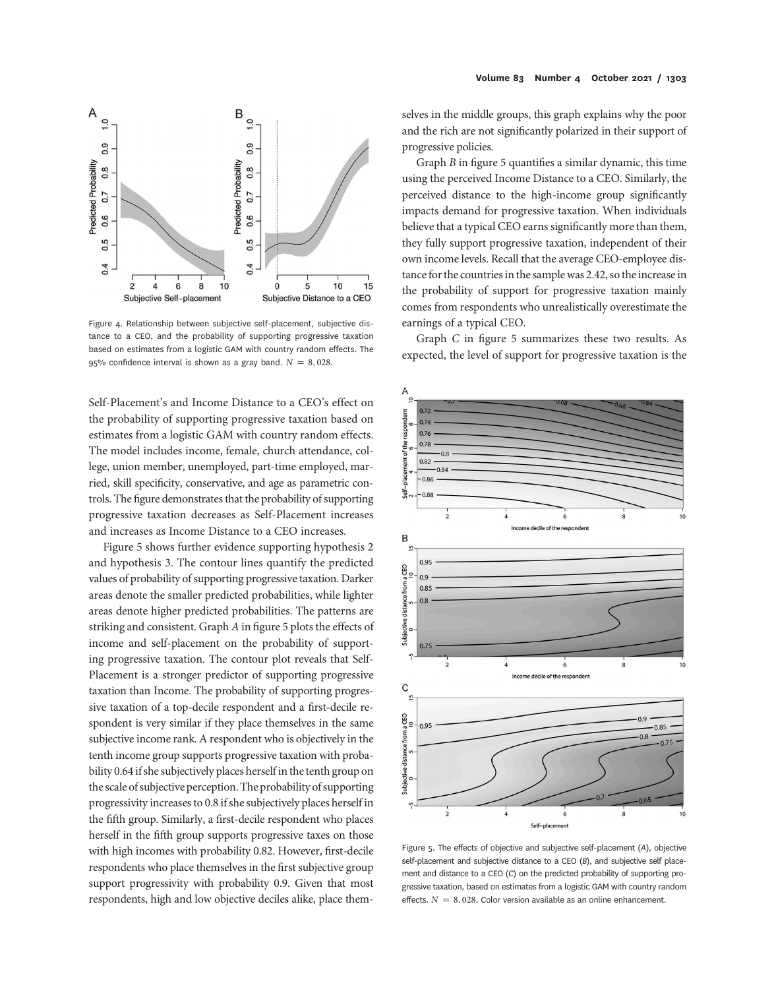

Figure 4. Relationship between subjective self-placement, subjective distance to a CEO, and the probability of supporting progressive taxation based on estimates from a logistic GAM with country random effects. The 95% confidence interval is shown as a gray band.  $N = 8,028$ .

Self-Placement's and Income Distance to a CEO's effect on the probability of supporting progressive taxation based on estimates from a logistic GAM with country random effects. The model includes income, female, church attendance, college, union member, unemployed, part-time employed, married, skill specificity, conservative, and age as parametric controls. The figure demonstrates that the probability of supporting progressive taxation decreases as Self-Placement increases and increases as Income Distance to a CEO increases.

Figure 5 shows further evidence supporting hypothesis 2 and hypothesis 3. The contour lines quantify the predicted values of probability of supporting progressive taxation. Darker areas denote the smaller predicted probabilities, while lighter areas denote higher predicted probabilities. The patterns are striking and consistent. Graph A in figure 5 plots the effects of income and self-placement on the probability of supporting progressive taxation. The contour plot reveals that Self-Placement is a stronger predictor of supporting progressive taxation than Income. The probability of supporting progressive taxation of a top-decile respondent and a first-decile respondent is very similar if they place themselves in the same subjective income rank. A respondent who is objectively in the tenth income group supports progressive taxation with probability 0.64 if she subjectively places herself in the tenth group on the scale of subjective perception. The probability of supporting progressivity increases to 0.8 if she subjectively places herself in the fifth group. Similarly, a first-decile respondent who places herself in the fifth group supports progressive taxes on those with high incomes with probability 0.82. However, first-decile respondents who place themselves in the first subjective group support progressivity with probability 0.9. Given that most respondents, high and low objective deciles alike, place them-

selves in the middle groups, this graph explains why the poor and the rich are not significantly polarized in their support of progressive policies.

Graph B in figure 5 quantifies a similar dynamic, this time using the perceived Income Distance to a CEO. Similarly, the perceived distance to the high-income group significantly impacts demand for progressive taxation. When individuals believe that a typical CEO earns significantly more than them, they fully support progressive taxation, independent of their own income levels. Recall that the average CEO-employee distance for the countries in the sample was 2.42, so the increase in the probability of support for progressive taxation mainly comes from respondents who unrealistically overestimate the earnings of a typical CEO.

Graph C in figure 5 summarizes these two results. As expected, the level of support for progressive taxation is the



Figure 5. The effects of objective and subjective self-placement (A), objective self-placement and subjective distance to a CEO (B), and subjective self placement and distance to a CEO (C) on the predicted probability of supporting progressive taxation, based on estimates from a logistic GAM with country random effects.  $N = 8,028$ . Color version available as an online enhancement.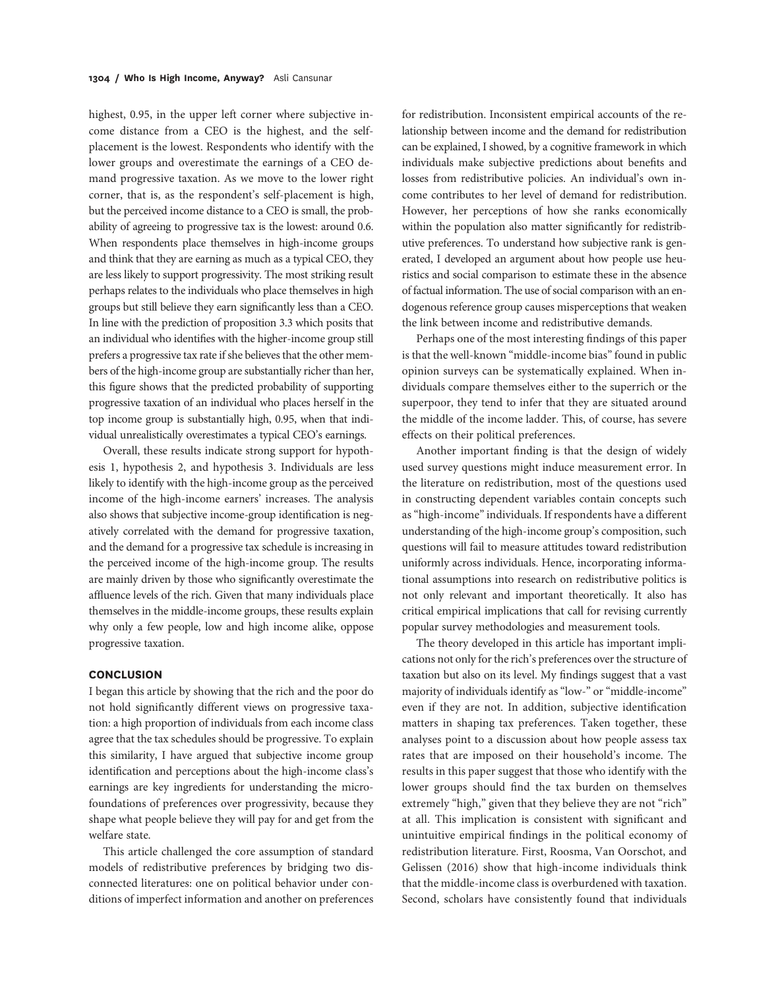highest, 0.95, in the upper left corner where subjective income distance from a CEO is the highest, and the selfplacement is the lowest. Respondents who identify with the lower groups and overestimate the earnings of a CEO demand progressive taxation. As we move to the lower right corner, that is, as the respondent's self-placement is high, but the perceived income distance to a CEO is small, the probability of agreeing to progressive tax is the lowest: around 0.6. When respondents place themselves in high-income groups and think that they are earning as much as a typical CEO, they are less likely to support progressivity. The most striking result perhaps relates to the individuals who place themselves in high groups but still believe they earn significantly less than a CEO. In line with the prediction of proposition 3.3 which posits that an individual who identifies with the higher-income group still prefers a progressive tax rate if she believes that the other members of the high-income group are substantially richer than her, this figure shows that the predicted probability of supporting progressive taxation of an individual who places herself in the top income group is substantially high, 0.95, when that individual unrealistically overestimates a typical CEO's earnings.

Overall, these results indicate strong support for hypothesis 1, hypothesis 2, and hypothesis 3. Individuals are less likely to identify with the high-income group as the perceived income of the high-income earners' increases. The analysis also shows that subjective income-group identification is negatively correlated with the demand for progressive taxation, and the demand for a progressive tax schedule is increasing in the perceived income of the high-income group. The results are mainly driven by those who significantly overestimate the affluence levels of the rich. Given that many individuals place themselves in the middle-income groups, these results explain why only a few people, low and high income alike, oppose progressive taxation.

#### **CONCLUSION**

I began this article by showing that the rich and the poor do not hold significantly different views on progressive taxation: a high proportion of individuals from each income class agree that the tax schedules should be progressive. To explain this similarity, I have argued that subjective income group identification and perceptions about the high-income class's earnings are key ingredients for understanding the microfoundations of preferences over progressivity, because they shape what people believe they will pay for and get from the welfare state.

This article challenged the core assumption of standard models of redistributive preferences by bridging two disconnected literatures: one on political behavior under conditions of imperfect information and another on preferences

for redistribution. Inconsistent empirical accounts of the relationship between income and the demand for redistribution can be explained, I showed, by a cognitive framework in which individuals make subjective predictions about benefits and losses from redistributive policies. An individual's own income contributes to her level of demand for redistribution. However, her perceptions of how she ranks economically within the population also matter significantly for redistributive preferences. To understand how subjective rank is generated, I developed an argument about how people use heuristics and social comparison to estimate these in the absence of factual information. The use of social comparison with an endogenous reference group causes misperceptions that weaken the link between income and redistributive demands.

Perhaps one of the most interesting findings of this paper is that the well-known "middle-income bias"found in public opinion surveys can be systematically explained. When individuals compare themselves either to the superrich or the superpoor, they tend to infer that they are situated around the middle of the income ladder. This, of course, has severe effects on their political preferences.

Another important finding is that the design of widely used survey questions might induce measurement error. In the literature on redistribution, most of the questions used in constructing dependent variables contain concepts such as"high-income"individuals. If respondents have a different understanding of the high-income group's composition, such questions will fail to measure attitudes toward redistribution uniformly across individuals. Hence, incorporating informational assumptions into research on redistributive politics is not only relevant and important theoretically. It also has critical empirical implications that call for revising currently popular survey methodologies and measurement tools.

The theory developed in this article has important implications not only for the rich's preferences over the structure of taxation but also on its level. My findings suggest that a vast majority of individuals identify as "low-" or "middle-income" even if they are not. In addition, subjective identification matters in shaping tax preferences. Taken together, these analyses point to a discussion about how people assess tax rates that are imposed on their household's income. The results in this paper suggest that those who identify with the lower groups should find the tax burden on themselves extremely "high," given that they believe they are not "rich" at all. This implication is consistent with significant and unintuitive empirical findings in the political economy of redistribution literature. First, Roosma, Van Oorschot, and Gelissen (2016) show that high-income individuals think that the middle-income class is overburdened with taxation. Second, scholars have consistently found that individuals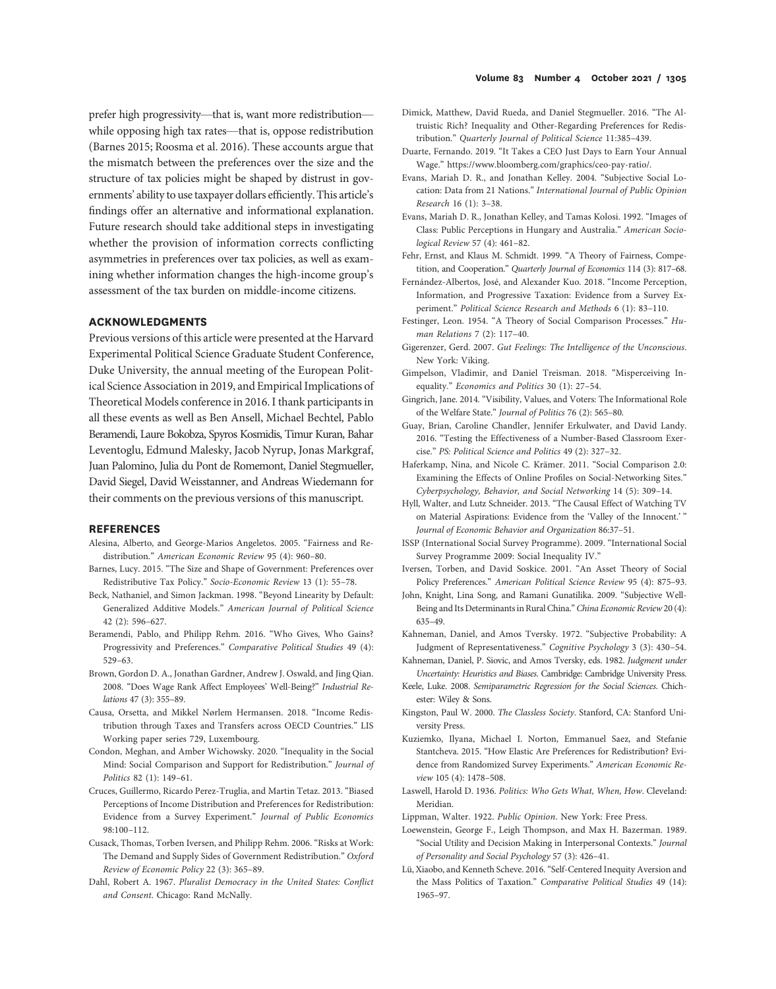prefer high progressivity—that is, want more redistribution while opposing high tax rates—that is, oppose redistribution (Barnes 2015; Roosma et al. 2016). These accounts argue that the mismatch between the preferences over the size and the structure of tax policies might be shaped by distrust in governments' ability to use taxpayer dollars efficiently. This article's findings offer an alternative and informational explanation. Future research should take additional steps in investigating whether the provision of information corrects conflicting asymmetries in preferences over tax policies, as well as examining whether information changes the high-income group's assessment of the tax burden on middle-income citizens.

### ACKNOWLEDGMENTS

Previous versions of this article were presented at the Harvard Experimental Political Science Graduate Student Conference, Duke University, the annual meeting of the European Political Science Association in 2019, and Empirical Implications of Theoretical Models conference in 2016. I thank participants in all these events as well as Ben Ansell, Michael Bechtel, Pablo Beramendi, Laure Bokobza, Spyros Kosmidis, Timur Kuran, Bahar Leventoglu, Edmund Malesky, Jacob Nyrup, Jonas Markgraf, Juan Palomino, Julia du Pont de Romemont, Daniel Stegmueller, David Siegel, David Weisstanner, and Andreas Wiedemann for their comments on the previous versions of this manuscript.

#### **REFERENCES**

- Alesina, Alberto, and George-Marios Angeletos. 2005. "Fairness and Redistribution." American Economic Review 95 (4): 960–80.
- Barnes, Lucy. 2015. "The Size and Shape of Government: Preferences over Redistributive Tax Policy." Socio-Economic Review 13 (1): 55–78.
- Beck, Nathaniel, and Simon Jackman. 1998. "Beyond Linearity by Default: Generalized Additive Models." American Journal of Political Science 42 (2): 596–627.
- Beramendi, Pablo, and Philipp Rehm. 2016. "Who Gives, Who Gains? Progressivity and Preferences." Comparative Political Studies 49 (4): 529–63.
- Brown, Gordon D. A., Jonathan Gardner, Andrew J. Oswald, and Jing Qian. 2008. "Does Wage Rank Affect Employees' Well-Being?" Industrial Relations 47 (3): 355–89.
- Causa, Orsetta, and Mikkel Nørlem Hermansen. 2018. "Income Redistribution through Taxes and Transfers across OECD Countries." LIS Working paper series 729, Luxembourg.
- Condon, Meghan, and Amber Wichowsky. 2020. "Inequality in the Social Mind: Social Comparison and Support for Redistribution." Journal of Politics 82 (1): 149–61.
- Cruces, Guillermo, Ricardo Perez-Truglia, and Martin Tetaz. 2013. "Biased Perceptions of Income Distribution and Preferences for Redistribution: Evidence from a Survey Experiment." Journal of Public Economics 98:100–112.
- Cusack, Thomas, Torben Iversen, and Philipp Rehm. 2006. "Risks at Work: The Demand and Supply Sides of Government Redistribution." Oxford Review of Economic Policy 22 (3): 365–89.
- Dahl, Robert A. 1967. Pluralist Democracy in the United States: Conflict and Consent. Chicago: Rand McNally.
- Dimick, Matthew, David Rueda, and Daniel Stegmueller. 2016. "The Altruistic Rich? Inequality and Other-Regarding Preferences for Redistribution." Quarterly Journal of Political Science 11:385–439.
- Duarte, Fernando. 2019. "It Takes a CEO Just Days to Earn Your Annual Wage." https://www.bloomberg.com/graphics/ceo-pay-ratio/.
- Evans, Mariah D. R., and Jonathan Kelley. 2004. "Subjective Social Location: Data from 21 Nations." International Journal of Public Opinion Research 16 (1): 3–38.
- Evans, Mariah D. R., Jonathan Kelley, and Tamas Kolosi. 1992. "Images of Class: Public Perceptions in Hungary and Australia." American Sociological Review 57 (4): 461–82.
- Fehr, Ernst, and Klaus M. Schmidt. 1999. "A Theory of Fairness, Competition, and Cooperation." Quarterly Journal of Economics 114 (3): 817–68.
- Fernández-Albertos, José, and Alexander Kuo. 2018. "Income Perception, Information, and Progressive Taxation: Evidence from a Survey Experiment." Political Science Research and Methods 6 (1): 83–110.
- Festinger, Leon. 1954. "A Theory of Social Comparison Processes." Human Relations 7 (2): 117–40.
- Gigerenzer, Gerd. 2007. Gut Feelings: The Intelligence of the Unconscious. New York: Viking.
- Gimpelson, Vladimir, and Daniel Treisman. 2018. "Misperceiving Inequality." Economics and Politics 30 (1): 27–54.
- Gingrich, Jane. 2014. "Visibility, Values, and Voters: The Informational Role of the Welfare State." Journal of Politics 76 (2): 565–80.
- Guay, Brian, Caroline Chandler, Jennifer Erkulwater, and David Landy. 2016. "Testing the Effectiveness of a Number-Based Classroom Exercise." PS: Political Science and Politics 49 (2): 327–32.
- Haferkamp, Nina, and Nicole C. Krämer. 2011. "Social Comparison 2.0: Examining the Effects of Online Profiles on Social-Networking Sites." Cyberpsychology, Behavior, and Social Networking 14 (5): 309–14.
- Hyll, Walter, and Lutz Schneider. 2013. "The Causal Effect of Watching TV on Material Aspirations: Evidence from the 'Valley of the Innocent.' " Journal of Economic Behavior and Organization 86:37–51.
- ISSP (International Social Survey Programme). 2009. "International Social Survey Programme 2009: Social Inequality IV."
- Iversen, Torben, and David Soskice. 2001. "An Asset Theory of Social Policy Preferences." American Political Science Review 95 (4): 875–93.
- John, Knight, Lina Song, and Ramani Gunatilika. 2009. "Subjective Well-Being and Its Determinants in Rural China."China Economic Review20 (4): 635–49.
- Kahneman, Daniel, and Amos Tversky. 1972. "Subjective Probability: A Judgment of Representativeness." Cognitive Psychology 3 (3): 430–54.
- Kahneman, Daniel, P. Siovic, and Amos Tversky, eds. 1982. Judgment under Uncertainty: Heuristics and Biases. Cambridge: Cambridge University Press.
- Keele, Luke. 2008. Semiparametric Regression for the Social Sciences. Chichester: Wiley & Sons.
- Kingston, Paul W. 2000. The Classless Society. Stanford, CA: Stanford University Press.
- Kuziemko, Ilyana, Michael I. Norton, Emmanuel Saez, and Stefanie Stantcheva. 2015. "How Elastic Are Preferences for Redistribution? Evidence from Randomized Survey Experiments." American Economic Review 105 (4): 1478–508.
- Laswell, Harold D. 1936. Politics: Who Gets What, When, How. Cleveland: Meridian.
- Lippman, Walter. 1922. Public Opinion. New York: Free Press.
- Loewenstein, George F., Leigh Thompson, and Max H. Bazerman. 1989. "Social Utility and Decision Making in Interpersonal Contexts." Journal of Personality and Social Psychology 57 (3): 426–41.
- Lü, Xiaobo, and Kenneth Scheve. 2016."Self-Centered Inequity Aversion and the Mass Politics of Taxation." Comparative Political Studies 49 (14): 1965–97.